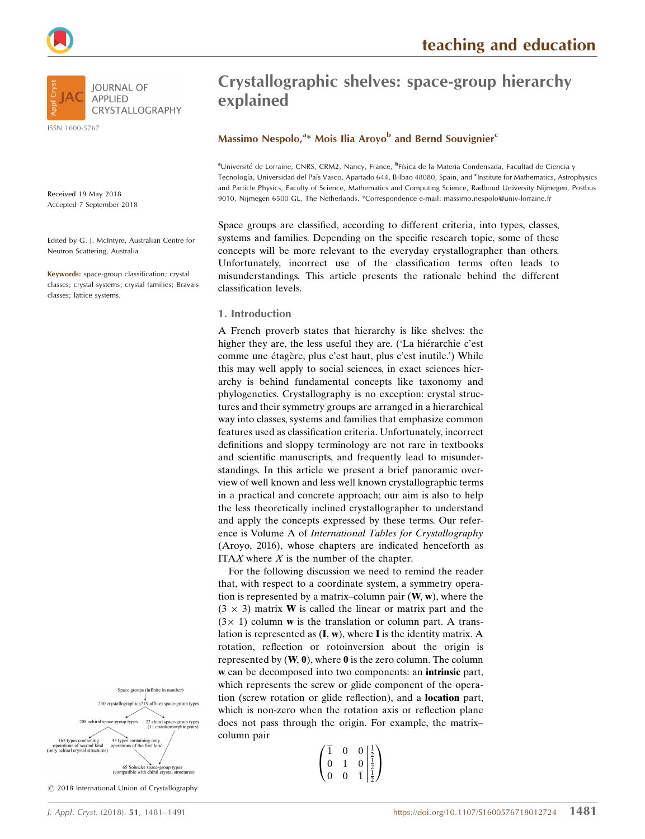

## **IOURNAL OF APPLIED** CRYSTALLOGRAPHY

ISSN 1600-5767

Received 19 May 2018 Accepted 7 September 2018

Edited by G. J. McIntyre, Australian Centre for Neutron Scattering, Australia

Keywords: space-group classification; crystal classes; crystal systems; crystal families; Bravais classes; lattice systems.



# Crystallographic shelves: space-group hierarchy explained

# Massimo Nespolo,<sup>a\*</sup> Mois Ilia Aroyo<sup>b</sup> and Bernd Souvignier<sup>c</sup>

<sup>a</sup>Université de Lorraine, CNRS, CRM2, Nancy, France, <sup>b</sup>Física de la Materia Condensada, Facultad de Ciencia y Tecnología, Universidad del País Vasco, Apartado 644, Bilbao 48080, Spain, and <sup>c</sup>Institute for Mathematics, Astrophysics and Particle Physics, Faculty of Science, Mathematics and Computing Science, Radboud University Nijmegen, Postbus 9010, Nijmegen 6500 GL, The Netherlands. \*Correspondence e-mail: massimo.nespolo@univ-lorraine.fr

Space groups are classified, according to different criteria, into types, classes, systems and families. Depending on the specific research topic, some of these concepts will be more relevant to the everyday crystallographer than others. Unfortunately, incorrect use of the classification terms often leads to misunderstandings. This article presents the rationale behind the different classification levels.

#### 1. Introduction

A French proverb states that hierarchy is like shelves: the higher they are, the less useful they are. ('La hiérarchie c'est comme une étagère, plus c'est haut, plus c'est inutile.') While this may well apply to social sciences, in exact sciences hierarchy is behind fundamental concepts like taxonomy and phylogenetics. Crystallography is no exception: crystal structures and their symmetry groups are arranged in a hierarchical way into classes, systems and families that emphasize common features used as classification criteria. Unfortunately, incorrect definitions and sloppy terminology are not rare in textbooks and scientific manuscripts, and frequently lead to misunderstandings. In this article we present a brief panoramic overview of well known and less well known crystallographic terms in a practical and concrete approach; our aim is also to help the less theoretically inclined crystallographer to understand and apply the concepts expressed by these terms. Our reference is Volume A of International Tables for Crystallography (Aroyo, 2016), whose chapters are indicated henceforth as ITAX where  $X$  is the number of the chapter.

For the following discussion we need to remind the reader that, with respect to a coordinate system, a symmetry operation is represented by a matrix–column pair  $(W, w)$ , where the  $(3 \times 3)$  matrix **W** is called the linear or matrix part and the  $(3 \times 1)$  column **w** is the translation or column part. A translation is represented as  $(I, w)$ , where I is the identity matrix. A rotation, reflection or rotoinversion about the origin is represented by  $(W, 0)$ , where 0 is the zero column. The column w can be decomposed into two components: an intrinsic part, which represents the screw or glide component of the operation (screw rotation or glide reflection), and a location part, which is non-zero when the rotation axis or reflection plane does not pass through the origin. For example, the matrix– column pair  $\overline{1}$  $\sqrt{2}$ 

100 010 0 0 1

 $\mathbf{I}$ 

 $\frac{1}{2}$  $\frac{1}{2}$  $\frac{1}{2}$ 

A



 $\circled{c}$  2018 International Union of Crystallography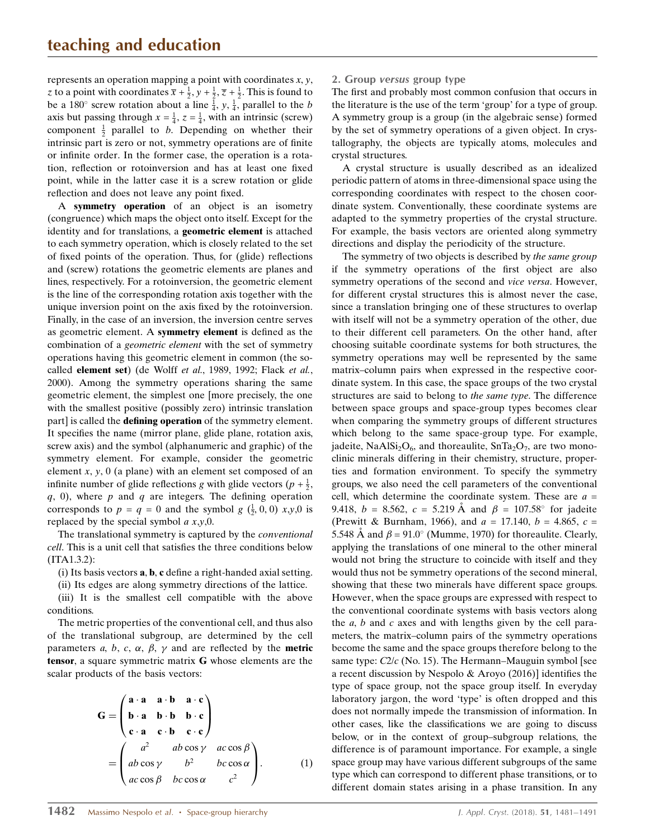represents an operation mapping a point with coordinates  $x, y$ , z to a point with coordinates  $\overline{x} + \frac{1}{2}$ ,  $y + \frac{1}{2}$ ,  $\overline{z} + \frac{1}{2}$ . This is found to be a 180° screw rotation about a line  $\frac{1}{4}$ ,  $y$ ,  $\frac{1}{4}$ , parallel to the *b* axis but passing through  $x = \frac{1}{4}$ ,  $z = \frac{1}{4}$ , with an intrinsic (screw) component  $\frac{1}{2}$  parallel to *b*. Depending on whether their intrinsic part is zero or not, symmetry operations are of finite or infinite order. In the former case, the operation is a rotation, reflection or rotoinversion and has at least one fixed point, while in the latter case it is a screw rotation or glide reflection and does not leave any point fixed.

A symmetry operation of an object is an isometry (congruence) which maps the object onto itself. Except for the identity and for translations, a geometric element is attached to each symmetry operation, which is closely related to the set of fixed points of the operation. Thus, for (glide) reflections and (screw) rotations the geometric elements are planes and lines, respectively. For a rotoinversion, the geometric element is the line of the corresponding rotation axis together with the unique inversion point on the axis fixed by the rotoinversion. Finally, in the case of an inversion, the inversion centre serves as geometric element. A symmetry element is defined as the combination of a geometric element with the set of symmetry operations having this geometric element in common (the socalled element set) (de Wolff et al., 1989, 1992; Flack et al., 2000). Among the symmetry operations sharing the same geometric element, the simplest one [more precisely, the one with the smallest positive (possibly zero) intrinsic translation part] is called the **defining operation** of the symmetry element. It specifies the name (mirror plane, glide plane, rotation axis, screw axis) and the symbol (alphanumeric and graphic) of the symmetry element. For example, consider the geometric element x, y,  $\theta$  (a plane) with an element set composed of an infinite number of glide reflections g with glide vectors  $(p + \frac{1}{2},$  $q$ , 0), where p and q are integers. The defining operation corresponds to  $p = q = 0$  and the symbol  $g\left(\frac{1}{2}, 0, 0\right)$   $x, y, 0$  is replaced by the special symbol  $a x, y, 0$ .

The translational symmetry is captured by the *conventional* cell. This is a unit cell that satisfies the three conditions below (ITA1.3.2):

(i) Its basis vectors a, b, c define a right-handed axial setting.

(ii) Its edges are along symmetry directions of the lattice.

(iii) It is the smallest cell compatible with the above conditions.

The metric properties of the conventional cell, and thus also of the translational subgroup, are determined by the cell parameters  $a, b, c, \alpha, \beta, \gamma$  and are reflected by the **metric** tensor, a square symmetric matrix G whose elements are the scalar products of the basis vectors:

$$
\mathbf{G} = \begin{pmatrix} \mathbf{a} \cdot \mathbf{a} & \mathbf{a} \cdot \mathbf{b} & \mathbf{a} \cdot \mathbf{c} \\ \mathbf{b} \cdot \mathbf{a} & \mathbf{b} \cdot \mathbf{b} & \mathbf{b} \cdot \mathbf{c} \\ \mathbf{c} \cdot \mathbf{a} & \mathbf{c} \cdot \mathbf{b} & \mathbf{c} \cdot \mathbf{c} \end{pmatrix}
$$
  
= 
$$
\begin{pmatrix} a^2 & ab \cos \gamma & ac \cos \beta \\ ab \cos \gamma & b^2 & bc \cos \alpha \\ ac \cos \beta & bc \cos \alpha & c^2 \end{pmatrix}.
$$
 (1)

### 2. Group versus group type

The first and probably most common confusion that occurs in the literature is the use of the term 'group' for a type of group. A symmetry group is a group (in the algebraic sense) formed by the set of symmetry operations of a given object. In crystallography, the objects are typically atoms, molecules and crystal structures.

A crystal structure is usually described as an idealized periodic pattern of atoms in three-dimensional space using the corresponding coordinates with respect to the chosen coordinate system. Conventionally, these coordinate systems are adapted to the symmetry properties of the crystal structure. For example, the basis vectors are oriented along symmetry directions and display the periodicity of the structure.

The symmetry of two objects is described by the same group if the symmetry operations of the first object are also symmetry operations of the second and vice versa. However, for different crystal structures this is almost never the case, since a translation bringing one of these structures to overlap with itself will not be a symmetry operation of the other, due to their different cell parameters. On the other hand, after choosing suitable coordinate systems for both structures, the symmetry operations may well be represented by the same matrix–column pairs when expressed in the respective coordinate system. In this case, the space groups of the two crystal structures are said to belong to the same type. The difference between space groups and space-group types becomes clear when comparing the symmetry groups of different structures which belong to the same space-group type. For example, jadeite, NaAl $Si<sub>2</sub>O<sub>6</sub>$ , and thoreaulite, SnTa<sub>2</sub>O<sub>7</sub>, are two monoclinic minerals differing in their chemistry, structure, properties and formation environment. To specify the symmetry groups, we also need the cell parameters of the conventional cell, which determine the coordinate system. These are  $a =$ 9.418,  $b = 8.562$ ,  $c = 5.219$  Å and  $\beta = 107.58^{\circ}$  for jadeite (Prewitt & Burnham, 1966), and  $a = 17.140$ ,  $b = 4.865$ ,  $c =$ 5.548 Å and  $\beta = 91.0^{\circ}$  (Mumme, 1970) for thoreaulite. Clearly, applying the translations of one mineral to the other mineral would not bring the structure to coincide with itself and they would thus not be symmetry operations of the second mineral, showing that these two minerals have different space groups. However, when the space groups are expressed with respect to the conventional coordinate systems with basis vectors along the a, b and c axes and with lengths given by the cell parameters, the matrix–column pairs of the symmetry operations become the same and the space groups therefore belong to the same type: C2/c (No. 15). The Hermann–Mauguin symbol [see a recent discussion by Nespolo & Aroyo (2016)] identifies the type of space group, not the space group itself. In everyday laboratory jargon, the word 'type' is often dropped and this does not normally impede the transmission of information. In other cases, like the classifications we are going to discuss below, or in the context of group–subgroup relations, the difference is of paramount importance. For example, a single space group may have various different subgroups of the same type which can correspond to different phase transitions, or to different domain states arising in a phase transition. In any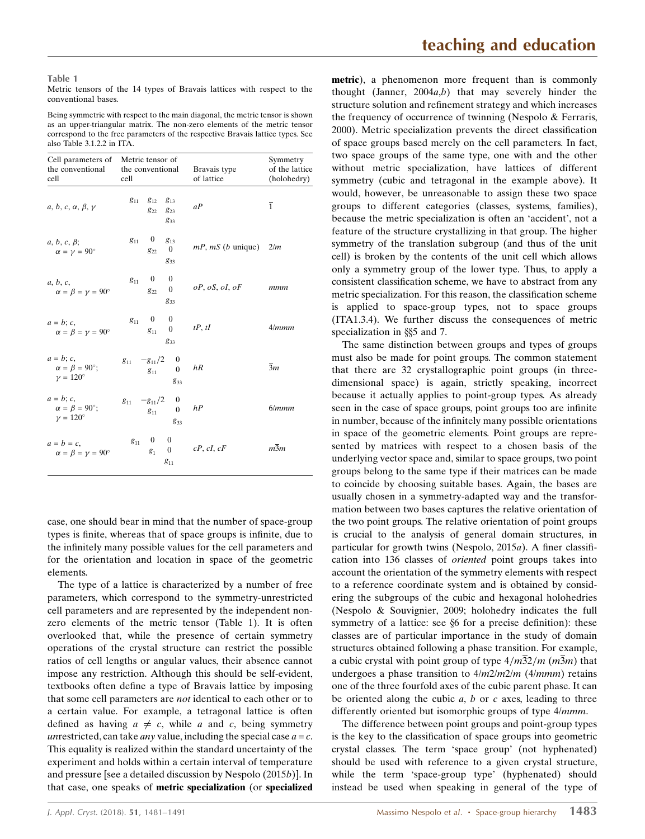#### Table 1

Metric tensors of the 14 types of Bravais lattices with respect to the conventional bases.

Being symmetric with respect to the main diagonal, the metric tensor is shown as an upper-triangular matrix. The non-zero elements of the metric tensor correspond to the free parameters of the respective Bravais lattice types. See also Table 3.1.2.2 in ITA.

| Cell parameters of<br>the conventional<br>cell                       | Metric tensor of<br>the conventional<br>cell                                         | Bravais type<br>of lattice     | Symmetry<br>of the lattice<br>(holohedry) |
|----------------------------------------------------------------------|--------------------------------------------------------------------------------------|--------------------------------|-------------------------------------------|
| $a, b, c, \alpha, \beta, \gamma$                                     | $g_{11}$<br>$g_{12}$<br>$g_{13}$<br>$g_{22}$<br>$g_{23}$<br>$g_{33}$                 | aP                             | $\overline{1}$                            |
| $a, b, c, \beta;$<br>$\alpha = \nu = 90^{\circ}$                     | 0<br>$g_{11}$<br>$g_{13}$<br>$\bf{0}$<br>$g_{22}$<br>$g_{33}$                        | $mP$ , $mS$ ( <i>b</i> unique) | 2/m                                       |
| a, b, c,<br>$\alpha = \beta = \gamma = 90^{\circ}$                   | 0<br>$\boldsymbol{0}$<br>$g_{11}$<br>$\mathbf{0}$<br>$g_{22}$<br>$g_{33}$            | oP, oS, oI, oF                 | ттт                                       |
| $a = b$ ; c,<br>$\alpha = \beta = \gamma = 90^{\circ}$               | $\boldsymbol{0}$<br>$\mathbf{0}$<br>$g_{11}$<br>$\mathbf{0}$<br>$g_{11}$<br>$g_{33}$ | tP, tI                         | 4/mmm                                     |
| $a = b$ ; c,<br>$\alpha = \beta = 90^{\circ}$ ;<br>$\nu = 120^\circ$ | $g_{11}$ - $g_{11}/2$<br>$\bf{0}$<br>$\mathbf{0}$<br>$g_{11}$<br>$g_{33}$            | hR                             | $\overline{3}m$                           |
| $a = b$ ; c,<br>$\alpha = \beta = 90^{\circ}$ ;<br>$\nu = 120^\circ$ | $g_{11}$ - $g_{11}/2$<br>$\overline{0}$<br>$\Omega$<br>$g_{11}$<br>$g_{33}$          | hP                             | 6/mmm                                     |
| $a = b = c$ ,<br>$\alpha = \beta = \gamma = 90^{\circ}$              | $\boldsymbol{0}$<br>0<br>$g_{11}$<br>$\mathbf{0}$<br>g <sub>1</sub><br>$g_{11}$      | cP, cI, cF                     | $m\overline{3}m$                          |

case, one should bear in mind that the number of space-group types is finite, whereas that of space groups is infinite, due to the infinitely many possible values for the cell parameters and for the orientation and location in space of the geometric elements.

The type of a lattice is characterized by a number of free parameters, which correspond to the symmetry-unrestricted cell parameters and are represented by the independent nonzero elements of the metric tensor (Table 1). It is often overlooked that, while the presence of certain symmetry operations of the crystal structure can restrict the possible ratios of cell lengths or angular values, their absence cannot impose any restriction. Although this should be self-evident, textbooks often define a type of Bravais lattice by imposing that some cell parameters are not identical to each other or to a certain value. For example, a tetragonal lattice is often defined as having  $a \neq c$ , while a and c, being symmetry unrestricted, can take *any* value, including the special case  $a = c$ . This equality is realized within the standard uncertainty of the experiment and holds within a certain interval of temperature and pressure [see a detailed discussion by Nespolo (2015b)]. In that case, one speaks of metric specialization (or specialized metric), a phenomenon more frequent than is commonly thought (Janner,  $2004a,b$ ) that may severely hinder the structure solution and refinement strategy and which increases the frequency of occurrence of twinning (Nespolo & Ferraris, 2000). Metric specialization prevents the direct classification of space groups based merely on the cell parameters. In fact, two space groups of the same type, one with and the other without metric specialization, have lattices of different symmetry (cubic and tetragonal in the example above). It would, however, be unreasonable to assign these two space groups to different categories (classes, systems, families), because the metric specialization is often an 'accident', not a feature of the structure crystallizing in that group. The higher symmetry of the translation subgroup (and thus of the unit cell) is broken by the contents of the unit cell which allows only a symmetry group of the lower type. Thus, to apply a consistent classification scheme, we have to abstract from any metric specialization. For this reason, the classification scheme is applied to space-group types, not to space groups (ITA1.3.4). We further discuss the consequences of metric specialization in  $\S$ 5 and 7.

The same distinction between groups and types of groups must also be made for point groups. The common statement that there are 32 crystallographic point groups (in threedimensional space) is again, strictly speaking, incorrect because it actually applies to point-group types. As already seen in the case of space groups, point groups too are infinite in number, because of the infinitely many possible orientations in space of the geometric elements. Point groups are represented by matrices with respect to a chosen basis of the underlying vector space and, similar to space groups, two point groups belong to the same type if their matrices can be made to coincide by choosing suitable bases. Again, the bases are usually chosen in a symmetry-adapted way and the transformation between two bases captures the relative orientation of the two point groups. The relative orientation of point groups is crucial to the analysis of general domain structures, in particular for growth twins (Nespolo, 2015a). A finer classification into 136 classes of oriented point groups takes into account the orientation of the symmetry elements with respect to a reference coordinate system and is obtained by considering the subgroups of the cubic and hexagonal holohedries (Nespolo & Souvignier, 2009; holohedry indicates the full symmetry of a lattice: see  $§6$  for a precise definition): these classes are of particular importance in the study of domain structures obtained following a phase transition. For example, a cubic crystal with point group of type  $4/m\overline{3}2/m$  ( $m\overline{3}m$ ) that undergoes a phase transition to  $4/m2/m2/m$  ( $4/mmm$ ) retains one of the three fourfold axes of the cubic parent phase. It can be oriented along the cubic  $a, b$  or  $c$  axes, leading to three differently oriented but isomorphic groups of type 4/mmm.

The difference between point groups and point-group types is the key to the classification of space groups into geometric crystal classes. The term 'space group' (not hyphenated) should be used with reference to a given crystal structure, while the term 'space-group type' (hyphenated) should instead be used when speaking in general of the type of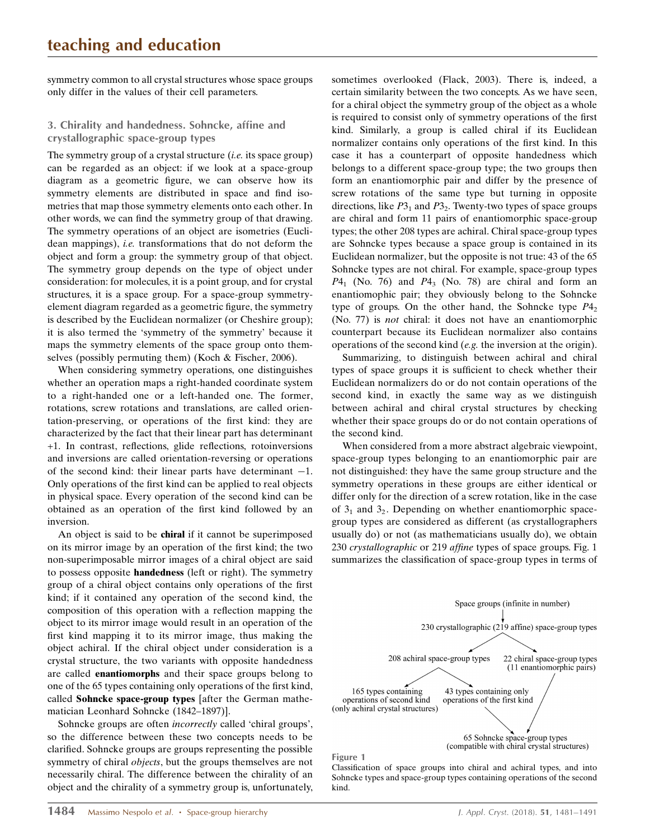symmetry common to all crystal structures whose space groups only differ in the values of their cell parameters.

### 3. Chirality and handedness. Sohncke, affine and crystallographic space-group types

The symmetry group of a crystal structure  $(i.e.$  its space group) can be regarded as an object: if we look at a space-group diagram as a geometric figure, we can observe how its symmetry elements are distributed in space and find isometries that map those symmetry elements onto each other. In other words, we can find the symmetry group of that drawing. The symmetry operations of an object are isometries (Euclidean mappings), i.e. transformations that do not deform the object and form a group: the symmetry group of that object. The symmetry group depends on the type of object under consideration: for molecules, it is a point group, and for crystal structures, it is a space group. For a space-group symmetryelement diagram regarded as a geometric figure, the symmetry is described by the Euclidean normalizer (or Cheshire group); it is also termed the 'symmetry of the symmetry' because it maps the symmetry elements of the space group onto themselves (possibly permuting them) (Koch & Fischer, 2006).

When considering symmetry operations, one distinguishes whether an operation maps a right-handed coordinate system to a right-handed one or a left-handed one. The former, rotations, screw rotations and translations, are called orientation-preserving, or operations of the first kind: they are characterized by the fact that their linear part has determinant +1. In contrast, reflections, glide reflections, rotoinversions and inversions are called orientation-reversing or operations of the second kind: their linear parts have determinant  $-1$ . Only operations of the first kind can be applied to real objects in physical space. Every operation of the second kind can be obtained as an operation of the first kind followed by an inversion.

An object is said to be chiral if it cannot be superimposed on its mirror image by an operation of the first kind; the two non-superimposable mirror images of a chiral object are said to possess opposite handedness (left or right). The symmetry group of a chiral object contains only operations of the first kind; if it contained any operation of the second kind, the composition of this operation with a reflection mapping the object to its mirror image would result in an operation of the first kind mapping it to its mirror image, thus making the object achiral. If the chiral object under consideration is a crystal structure, the two variants with opposite handedness are called enantiomorphs and their space groups belong to one of the 65 types containing only operations of the first kind, called Sohncke space-group types [after the German mathematician Leonhard Sohncke (1842–1897)].

Sohncke groups are often *incorrectly* called 'chiral groups', so the difference between these two concepts needs to be clarified. Sohncke groups are groups representing the possible symmetry of chiral *objects*, but the groups themselves are not necessarily chiral. The difference between the chirality of an object and the chirality of a symmetry group is, unfortunately,

sometimes overlooked (Flack, 2003). There is, indeed, a certain similarity between the two concepts. As we have seen, for a chiral object the symmetry group of the object as a whole is required to consist only of symmetry operations of the first kind. Similarly, a group is called chiral if its Euclidean normalizer contains only operations of the first kind. In this case it has a counterpart of opposite handedness which belongs to a different space-group type; the two groups then form an enantiomorphic pair and differ by the presence of screw rotations of the same type but turning in opposite directions, like  $P3<sub>1</sub>$  and  $P3<sub>2</sub>$ . Twenty-two types of space groups are chiral and form 11 pairs of enantiomorphic space-group types; the other 208 types are achiral. Chiral space-group types are Sohncke types because a space group is contained in its Euclidean normalizer, but the opposite is not true: 43 of the 65 Sohncke types are not chiral. For example, space-group types  $P4_1$  (No. 76) and  $P4_3$  (No. 78) are chiral and form an enantiomophic pair; they obviously belong to the Sohncke type of groups. On the other hand, the Sohncke type  $P_1$ . (No. 77) is not chiral: it does not have an enantiomorphic counterpart because its Euclidean normalizer also contains operations of the second kind (e.g. the inversion at the origin).

Summarizing, to distinguish between achiral and chiral types of space groups it is sufficient to check whether their Euclidean normalizers do or do not contain operations of the second kind, in exactly the same way as we distinguish between achiral and chiral crystal structures by checking whether their space groups do or do not contain operations of the second kind.

When considered from a more abstract algebraic viewpoint, space-group types belonging to an enantiomorphic pair are not distinguished: they have the same group structure and the symmetry operations in these groups are either identical or differ only for the direction of a screw rotation, like in the case of  $3<sub>1</sub>$  and  $3<sub>2</sub>$ . Depending on whether enantiomorphic spacegroup types are considered as different (as crystallographers usually do) or not (as mathematicians usually do), we obtain 230 crystallographic or 219 affine types of space groups. Fig. 1 summarizes the classification of space-group types in terms of



Classification of space groups into chiral and achiral types, and into Sohncke types and space-group types containing operations of the second kind.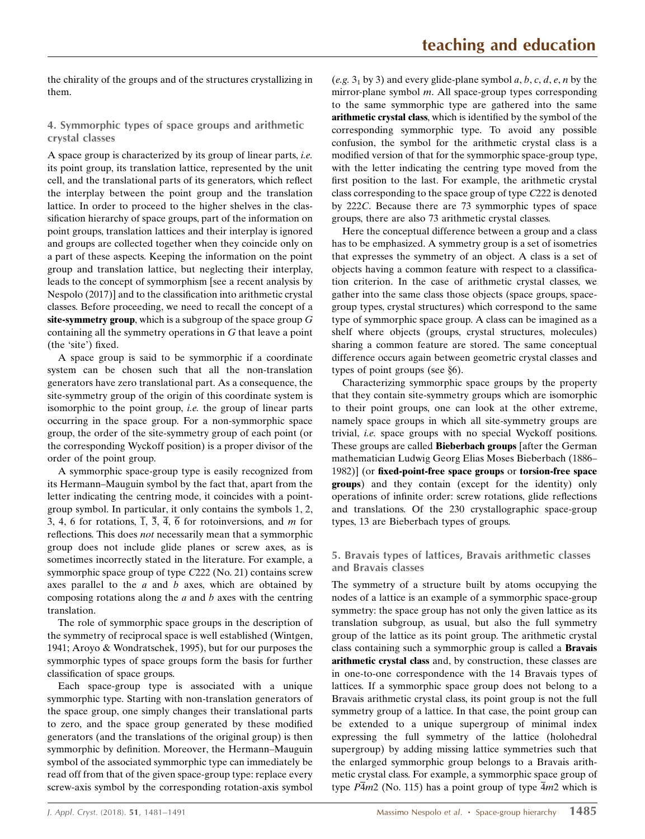the chirality of the groups and of the structures crystallizing in them.

### 4. Symmorphic types of space groups and arithmetic crystal classes

A space group is characterized by its group of linear parts, i.e. its point group, its translation lattice, represented by the unit cell, and the translational parts of its generators, which reflect the interplay between the point group and the translation lattice. In order to proceed to the higher shelves in the classification hierarchy of space groups, part of the information on point groups, translation lattices and their interplay is ignored and groups are collected together when they coincide only on a part of these aspects. Keeping the information on the point group and translation lattice, but neglecting their interplay, leads to the concept of symmorphism [see a recent analysis by Nespolo (2017)] and to the classification into arithmetic crystal classes. Before proceeding, we need to recall the concept of a site-symmetry group, which is a subgroup of the space group  $G$ containing all the symmetry operations in  $G$  that leave a point (the 'site') fixed.

A space group is said to be symmorphic if a coordinate system can be chosen such that all the non-translation generators have zero translational part. As a consequence, the site-symmetry group of the origin of this coordinate system is isomorphic to the point group, i.e. the group of linear parts occurring in the space group. For a non-symmorphic space group, the order of the site-symmetry group of each point (or the corresponding Wyckoff position) is a proper divisor of the order of the point group.

A symmorphic space-group type is easily recognized from its Hermann–Mauguin symbol by the fact that, apart from the letter indicating the centring mode, it coincides with a pointgroup symbol. In particular, it only contains the symbols 1, 2, 3, 4, 6 for rotations,  $\overline{1}$ ,  $\overline{3}$ ,  $\overline{4}$ ,  $\overline{6}$  for rotoinversions, and *m* for reflections. This does not necessarily mean that a symmorphic group does not include glide planes or screw axes, as is sometimes incorrectly stated in the literature. For example, a symmorphic space group of type C222 (No. 21) contains screw axes parallel to the  $a$  and  $b$  axes, which are obtained by composing rotations along the  $a$  and  $b$  axes with the centring translation.

The role of symmorphic space groups in the description of the symmetry of reciprocal space is well established (Wintgen, 1941; Aroyo & Wondratschek, 1995), but for our purposes the symmorphic types of space groups form the basis for further classification of space groups.

Each space-group type is associated with a unique symmorphic type. Starting with non-translation generators of the space group, one simply changes their translational parts to zero, and the space group generated by these modified generators (and the translations of the original group) is then symmorphic by definition. Moreover, the Hermann–Mauguin symbol of the associated symmorphic type can immediately be read off from that of the given space-group type: replace every screw-axis symbol by the corresponding rotation-axis symbol  $(e.g. 3<sub>1</sub> by 3)$  and every glide-plane symbol a, b, c, d, e, n by the mirror-plane symbol  $m$ . All space-group types corresponding to the same symmorphic type are gathered into the same arithmetic crystal class, which is identified by the symbol of the corresponding symmorphic type. To avoid any possible confusion, the symbol for the arithmetic crystal class is a modified version of that for the symmorphic space-group type, with the letter indicating the centring type moved from the first position to the last. For example, the arithmetic crystal class corresponding to the space group of type C222 is denoted by 222C. Because there are 73 symmorphic types of space groups, there are also 73 arithmetic crystal classes.

Here the conceptual difference between a group and a class has to be emphasized. A symmetry group is a set of isometries that expresses the symmetry of an object. A class is a set of objects having a common feature with respect to a classification criterion. In the case of arithmetic crystal classes, we gather into the same class those objects (space groups, spacegroup types, crystal structures) which correspond to the same type of symmorphic space group. A class can be imagined as a shelf where objects (groups, crystal structures, molecules) sharing a common feature are stored. The same conceptual difference occurs again between geometric crystal classes and types of point groups (see  $\S6$ ).

Characterizing symmorphic space groups by the property that they contain site-symmetry groups which are isomorphic to their point groups, one can look at the other extreme, namely space groups in which all site-symmetry groups are trivial, i.e. space groups with no special Wyckoff positions. These groups are called Bieberbach groups [after the German mathematician Ludwig Georg Elias Moses Bieberbach (1886– 1982)] (or fixed-point-free space groups or torsion-free space groups) and they contain (except for the identity) only operations of infinite order: screw rotations, glide reflections and translations. Of the 230 crystallographic space-group types, 13 are Bieberbach types of groups.

### 5. Bravais types of lattices, Bravais arithmetic classes and Bravais classes

The symmetry of a structure built by atoms occupying the nodes of a lattice is an example of a symmorphic space-group symmetry: the space group has not only the given lattice as its translation subgroup, as usual, but also the full symmetry group of the lattice as its point group. The arithmetic crystal class containing such a symmorphic group is called a Bravais arithmetic crystal class and, by construction, these classes are in one-to-one correspondence with the 14 Bravais types of lattices. If a symmorphic space group does not belong to a Bravais arithmetic crystal class, its point group is not the full symmetry group of a lattice. In that case, the point group can be extended to a unique supergroup of minimal index expressing the full symmetry of the lattice (holohedral supergroup) by adding missing lattice symmetries such that the enlarged symmorphic group belongs to a Bravais arithmetic crystal class. For example, a symmorphic space group of type  $P\overline{4}m2$  (No. 115) has a point group of type  $\overline{4}m2$  which is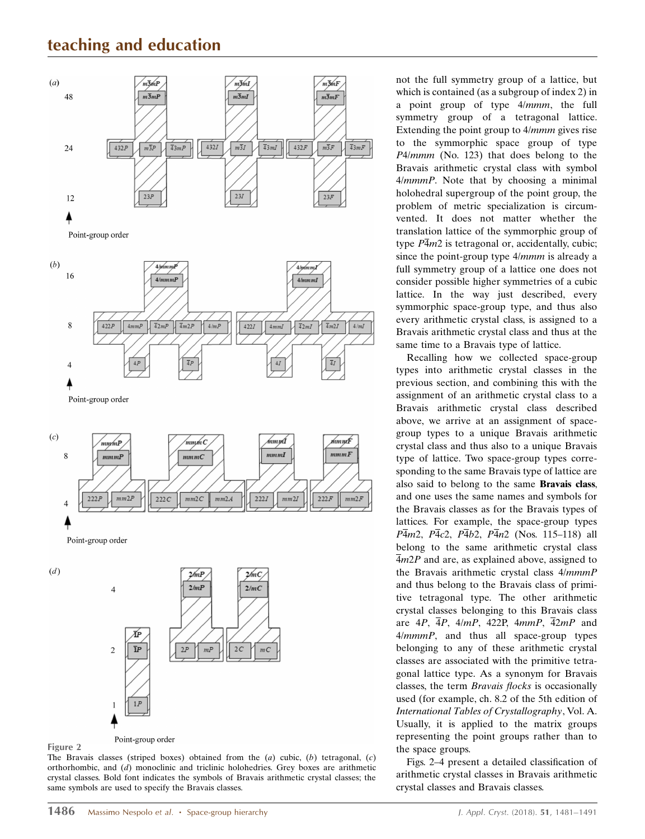# teaching and education



The Bravais classes (striped boxes) obtained from the  $(a)$  cubic,  $(b)$  tetragonal,  $(c)$ orthorhombic, and (d) monoclinic and triclinic holohedries. Grey boxes are arithmetic crystal classes. Bold font indicates the symbols of Bravais arithmetic crystal classes; the same symbols are used to specify the Bravais classes.

not the full symmetry group of a lattice, but which is contained (as a subgroup of index 2) in a point group of type 4/mmm, the full symmetry group of a tetragonal lattice. Extending the point group to 4/mmm gives rise to the symmorphic space group of type P4/mmm (No. 123) that does belong to the Bravais arithmetic crystal class with symbol 4/mmmP. Note that by choosing a minimal holohedral supergroup of the point group, the problem of metric specialization is circumvented. It does not matter whether the translation lattice of the symmorphic group of type  $P\overline{4}m2$  is tetragonal or, accidentally, cubic; since the point-group type 4/mmm is already a full symmetry group of a lattice one does not consider possible higher symmetries of a cubic lattice. In the way just described, every symmorphic space-group type, and thus also every arithmetic crystal class, is assigned to a Bravais arithmetic crystal class and thus at the same time to a Bravais type of lattice.

Recalling how we collected space-group types into arithmetic crystal classes in the previous section, and combining this with the assignment of an arithmetic crystal class to a Bravais arithmetic crystal class described above, we arrive at an assignment of spacegroup types to a unique Bravais arithmetic crystal class and thus also to a unique Bravais type of lattice. Two space-group types corresponding to the same Bravais type of lattice are also said to belong to the same Bravais class, and one uses the same names and symbols for the Bravais classes as for the Bravais types of lattices. For example, the space-group types  $P\overline{4}m2$ ,  $P\overline{4}c2$ ,  $P\overline{4}b2$ ,  $P\overline{4}n2$  (Nos. 115-118) all belong to the same arithmetic crystal class  $\overline{4}m2P$  and are, as explained above, assigned to the Bravais arithmetic crystal class 4/mmmP and thus belong to the Bravais class of primitive tetragonal type. The other arithmetic crystal classes belonging to this Bravais class are  $4P$ ,  $\overline{4}P$ ,  $4/mP$ ,  $422P$ ,  $4mmP$ ,  $\overline{4}2mP$  and 4/mmmP, and thus all space-group types belonging to any of these arithmetic crystal classes are associated with the primitive tetragonal lattice type. As a synonym for Bravais classes, the term Bravais flocks is occasionally used (for example, ch. 8.2 of the 5th edition of International Tables of Crystallography, Vol. A. Usually, it is applied to the matrix groups representing the point groups rather than to the space groups.

Figs. 2–4 present a detailed classification of arithmetic crystal classes in Bravais arithmetic crystal classes and Bravais classes.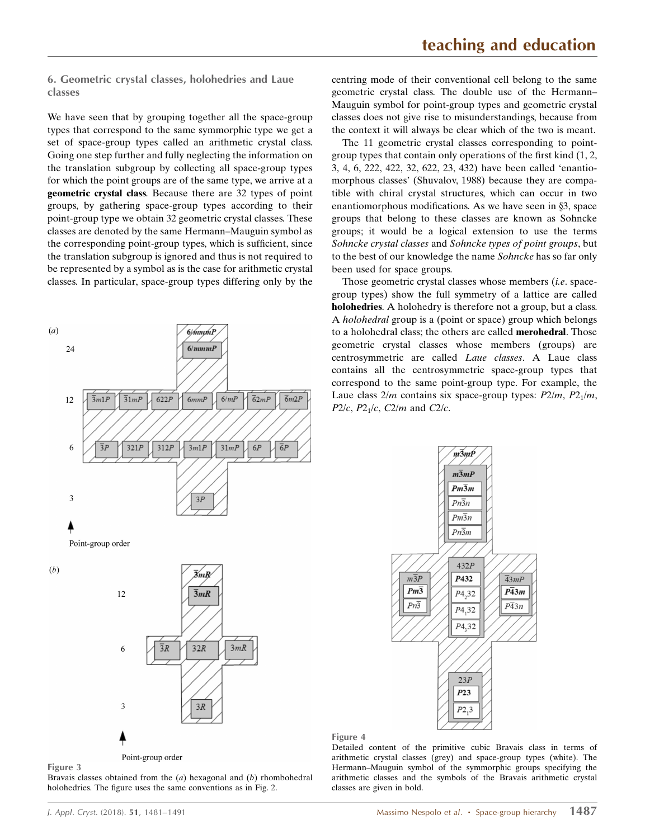#### 6. Geometric crystal classes, holohedries and Laue classes

We have seen that by grouping together all the space-group types that correspond to the same symmorphic type we get a set of space-group types called an arithmetic crystal class. Going one step further and fully neglecting the information on the translation subgroup by collecting all space-group types for which the point groups are of the same type, we arrive at a geometric crystal class. Because there are 32 types of point groups, by gathering space-group types according to their point-group type we obtain 32 geometric crystal classes. These classes are denoted by the same Hermann–Mauguin symbol as the corresponding point-group types, which is sufficient, since the translation subgroup is ignored and thus is not required to be represented by a symbol as is the case for arithmetic crystal classes. In particular, space-group types differing only by the



Point-group order

 $(b)$ 



Figure 3

Bravais classes obtained from the  $(a)$  hexagonal and  $(b)$  rhombohedral holohedries. The figure uses the same conventions as in Fig. 2.

The 11 geometric crystal classes corresponding to pointgroup types that contain only operations of the first kind (1, 2, 3, 4, 6, 222, 422, 32, 622, 23, 432) have been called 'enantiomorphous classes' (Shuvalov, 1988) because they are compatible with chiral crystal structures, which can occur in two enantiomorphous modifications. As we have seen in  $\S$ 3, space groups that belong to these classes are known as Sohncke groups; it would be a logical extension to use the terms Sohncke crystal classes and Sohncke types of point groups, but to the best of our knowledge the name Sohncke has so far only been used for space groups.

Those geometric crystal classes whose members *(i.e.* spacegroup types) show the full symmetry of a lattice are called holohedries. A holohedry is therefore not a group, but a class. A holohedral group is a (point or space) group which belongs to a holohedral class; the others are called merohedral. Those geometric crystal classes whose members (groups) are centrosymmetric are called Laue classes. A Laue class contains all the centrosymmetric space-group types that correspond to the same point-group type. For example, the Laue class  $2/m$  contains six space-group types:  $P2/m$ ,  $P2_1/m$ ,  $P2/c$ ,  $P2_1/c$ ,  $C2/m$  and  $C2/c$ .



#### Figure 4

Detailed content of the primitive cubic Bravais class in terms of arithmetic crystal classes (grey) and space-group types (white). The Hermann–Mauguin symbol of the symmorphic groups specifying the arithmetic classes and the symbols of the Bravais arithmetic crystal classes are given in bold.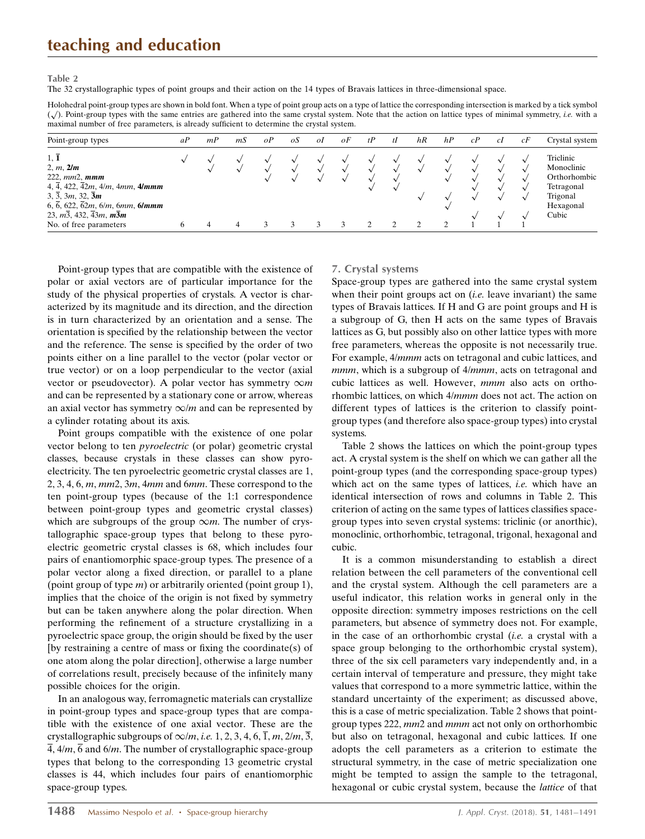Table 2

The 32 crystallographic types of point groups and their action on the 14 types of Bravais lattices in three-dimensional space.

Holohedral point-group types are shown in bold font. When a type of point group acts on a type of lattice the corresponding intersection is marked by a tick symbol Frolohedral point-group types are shown in bold folit. When a type of point group acts on a type of lattice the corresponding intersection is marked by a lick symbol  $(\sqrt)$ . Point-group types with the same entries are gath maximal number of free parameters, is already sufficient to determine the crystal system.

| Point-group types                                                                                                                                                                                                                     | aP | mP | mS | oP | $\alpha$ S | O <sub>I</sub> | oF | tP | tI | hR | hP | cP | cF | Crystal system                                                                          |
|---------------------------------------------------------------------------------------------------------------------------------------------------------------------------------------------------------------------------------------|----|----|----|----|------------|----------------|----|----|----|----|----|----|----|-----------------------------------------------------------------------------------------|
| $1,\bar{1}$<br>2, m, 2/m<br>222, mm2, mmm<br>4, 4, 422, $\overline{4}2m$ , 4/m, 4mm, 4/mmm<br>$3, \overline{3}, 3m, 32, \overline{3}m$<br>6, 6, 622, 62m, 6/m, 6mm, 6/mmm<br>23, $m3$ , 432, 43 $m$ , $m3m$<br>No. of free parameters | 6  | 4  |    |    | ÷.         |                |    |    |    |    | ◠  |    |    | Triclinic<br>Monoclinic<br>Orthorhombic<br>Tetragonal<br>Trigonal<br>Hexagonal<br>Cubic |

Point-group types that are compatible with the existence of polar or axial vectors are of particular importance for the study of the physical properties of crystals. A vector is characterized by its magnitude and its direction, and the direction is in turn characterized by an orientation and a sense. The orientation is specified by the relationship between the vector and the reference. The sense is specified by the order of two points either on a line parallel to the vector (polar vector or true vector) or on a loop perpendicular to the vector (axial vector or pseudovector). A polar vector has symmetry  $\infty$ m and can be represented by a stationary cone or arrow, whereas an axial vector has symmetry  $\infty/m$  and can be represented by a cylinder rotating about its axis.

Point groups compatible with the existence of one polar vector belong to ten pyroelectric (or polar) geometric crystal classes, because crystals in these classes can show pyroelectricity. The ten pyroelectric geometric crystal classes are 1, 2, 3, 4, 6, m, mm2, 3m, 4mm and 6mm. These correspond to the ten point-group types (because of the 1:1 correspondence between point-group types and geometric crystal classes) which are subgroups of the group  $\infty$ m. The number of crystallographic space-group types that belong to these pyroelectric geometric crystal classes is 68, which includes four pairs of enantiomorphic space-group types. The presence of a polar vector along a fixed direction, or parallel to a plane (point group of type  $m$ ) or arbitrarily oriented (point group 1), implies that the choice of the origin is not fixed by symmetry but can be taken anywhere along the polar direction. When performing the refinement of a structure crystallizing in a pyroelectric space group, the origin should be fixed by the user [by restraining a centre of mass or fixing the coordinate(s) of one atom along the polar direction], otherwise a large number of correlations result, precisely because of the infinitely many possible choices for the origin.

In an analogous way, ferromagnetic materials can crystallize in point-group types and space-group types that are compatible with the existence of one axial vector. These are the crystallographic subgroups of  $\infty/m$ , i.e. 1, 2, 3, 4, 6,  $\overline{1}$ , m,  $2/m$ ,  $\overline{3}$ ,  $\overline{4}$ , 4/m,  $\overline{6}$  and 6/m. The number of crystallographic space-group types that belong to the corresponding 13 geometric crystal classes is 44, which includes four pairs of enantiomorphic space-group types.

#### 7. Crystal systems

Space-group types are gathered into the same crystal system when their point groups act on  $(i.e.$  leave invariant) the same types of Bravais lattices. If H and G are point groups and H is a subgroup of G, then H acts on the same types of Bravais lattices as G, but possibly also on other lattice types with more free parameters, whereas the opposite is not necessarily true. For example, 4/mmm acts on tetragonal and cubic lattices, and mmm, which is a subgroup of  $4/mmm$ , acts on tetragonal and cubic lattices as well. However, mmm also acts on orthorhombic lattices, on which 4/mmm does not act. The action on different types of lattices is the criterion to classify pointgroup types (and therefore also space-group types) into crystal systems.

Table 2 shows the lattices on which the point-group types act. A crystal system is the shelf on which we can gather all the point-group types (and the corresponding space-group types) which act on the same types of lattices, *i.e.* which have an identical intersection of rows and columns in Table 2. This criterion of acting on the same types of lattices classifies spacegroup types into seven crystal systems: triclinic (or anorthic), monoclinic, orthorhombic, tetragonal, trigonal, hexagonal and cubic.

It is a common misunderstanding to establish a direct relation between the cell parameters of the conventional cell and the crystal system. Although the cell parameters are a useful indicator, this relation works in general only in the opposite direction: symmetry imposes restrictions on the cell parameters, but absence of symmetry does not. For example, in the case of an orthorhombic crystal (i.e. a crystal with a space group belonging to the orthorhombic crystal system), three of the six cell parameters vary independently and, in a certain interval of temperature and pressure, they might take values that correspond to a more symmetric lattice, within the standard uncertainty of the experiment; as discussed above, this is a case of metric specialization. Table 2 shows that pointgroup types 222, mm2 and mmm act not only on orthorhombic but also on tetragonal, hexagonal and cubic lattices. If one adopts the cell parameters as a criterion to estimate the structural symmetry, in the case of metric specialization one might be tempted to assign the sample to the tetragonal, hexagonal or cubic crystal system, because the lattice of that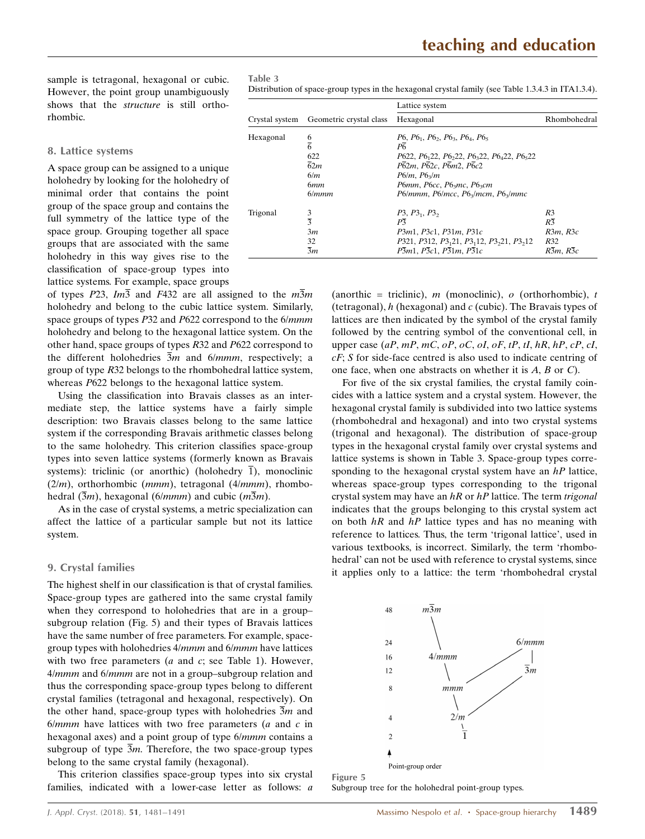sample is tetragonal, hexagonal or cubic. However, the point group unambiguously shows that the structure is still orthorhombic.

Table 3

#### 8. Lattice systems

A space group can be assigned to a unique holohedry by looking for the holohedry of minimal order that contains the point group of the space group and contains the full symmetry of the lattice type of the space group. Grouping together all space groups that are associated with the same holohedry in this way gives rise to the classification of space-group types into lattice systems. For example, space groups

of types P23,  $Im\overline{3}$  and F432 are all assigned to the  $m\overline{3}m$ holohedry and belong to the cubic lattice system. Similarly, space groups of types P32 and P622 correspond to the 6/mmm holohedry and belong to the hexagonal lattice system. On the other hand, space groups of types R32 and P622 correspond to the different holohedries  $\overline{3}m$  and  $6/mmm$ , respectively; a group of type R32 belongs to the rhombohedral lattice system, whereas P622 belongs to the hexagonal lattice system.

Using the classification into Bravais classes as an intermediate step, the lattice systems have a fairly simple description: two Bravais classes belong to the same lattice system if the corresponding Bravais arithmetic classes belong to the same holohedry. This criterion classifies space-group types into seven lattice systems (formerly known as Bravais systems): triclinic (or anorthic) (holohedry  $\overline{1}$ ), monoclinic  $(2/m)$ , orthorhombic (mmm), tetragonal  $(4/mmm)$ , rhombohedral  $(\overline{3}m)$ , hexagonal (6/mmm) and cubic ( $m\overline{3}m$ ).

As in the case of crystal systems, a metric specialization can affect the lattice of a particular sample but not its lattice system.

#### 9. Crystal families

The highest shelf in our classification is that of crystal families. Space-group types are gathered into the same crystal family when they correspond to holohedries that are in a group– subgroup relation (Fig. 5) and their types of Bravais lattices have the same number of free parameters. For example, spacegroup types with holohedries 4/mmm and 6/mmm have lattices with two free parameters  $(a \text{ and } c; \text{ see Table 1}).$  However, 4/mmm and 6/mmm are not in a group–subgroup relation and thus the corresponding space-group types belong to different crystal families (tetragonal and hexagonal, respectively). On the other hand, space-group types with holohedries  $\overline{3}m$  and  $6/mmm$  have lattices with two free parameters (*a* and *c* in hexagonal axes) and a point group of type 6/mmm contains a subgroup of type  $\overline{3}m$ . Therefore, the two space-group types belong to the same crystal family (hexagonal).

This criterion classifies space-group types into six crystal families, indicated with a lower-case letter as follows: a

|                |                         | Lattice system                                                                                                           |                |  |  |  |  |  |
|----------------|-------------------------|--------------------------------------------------------------------------------------------------------------------------|----------------|--|--|--|--|--|
| Crystal system | Geometric crystal class | Hexagonal                                                                                                                | Rhombohedral   |  |  |  |  |  |
| Hexagonal      | 6                       | $P6, P6_1, P6_2, P6_3, P6_4, P6_5$                                                                                       |                |  |  |  |  |  |
|                | $\overline{6}$<br>622   | P6                                                                                                                       |                |  |  |  |  |  |
|                | $\overline{6}2m$        | P622, P6.22, P6.22, P6.22, P6.22, P6.22<br>$P\overline{6}2m$ , $P\overline{6}2c$ , $P\overline{6}m2$ , $P\overline{6}c2$ |                |  |  |  |  |  |
|                | 6/m                     | $P6/m, P6_3/m$                                                                                                           |                |  |  |  |  |  |
|                | 6 <i>mm</i>             | $P6mm$ , Р6сс, Р6зтс, Р6зст                                                                                              |                |  |  |  |  |  |
|                | 6/mmm                   | $P6/mmm$ , $P6/mcc$ , $P6\sqrt{m}cm$ , $P6\sqrt{mm}c$                                                                    |                |  |  |  |  |  |
| Trigonal       | 3                       | $P3, P3_1, P3_2$                                                                                                         | R <sub>3</sub> |  |  |  |  |  |
|                | $\frac{1}{3}$           | P <sub>3</sub>                                                                                                           | $R_3$          |  |  |  |  |  |
|                | 3m                      | P3m1, P3c1, P31m, P31c                                                                                                   | R3m, R3c       |  |  |  |  |  |
|                | 32                      | P321, P312, P3 <sub>1</sub> 21, P3 <sub>1</sub> 12, P3 <sub>2</sub> 21, P3 <sub>2</sub> 12                               | R32            |  |  |  |  |  |
|                | $\overline{3}m$         | $P\overline{3}m1. P\overline{3}c1. P\overline{3}1m. P\overline{3}1c$                                                     | R3m, R3c       |  |  |  |  |  |

Distribution of space-group types in the hexagonal crystal family (see Table 1.3.4.3 in ITA1.3.4).

(anorthic = triclinic), m (monoclinic), o (orthorhombic), t (tetragonal), h (hexagonal) and  $c$  (cubic). The Bravais types of lattices are then indicated by the symbol of the crystal family followed by the centring symbol of the conventional cell, in upper case  $(aP, mP, mC, oP, oC, oI, oF, tP, tI, hR, hP, cP, cI,$  $cF$ ; S for side-face centred is also used to indicate centring of one face, when one abstracts on whether it is A, B or C).

For five of the six crystal families, the crystal family coincides with a lattice system and a crystal system. However, the hexagonal crystal family is subdivided into two lattice systems (rhombohedral and hexagonal) and into two crystal systems (trigonal and hexagonal). The distribution of space-group types in the hexagonal crystal family over crystal systems and lattice systems is shown in Table 3. Space-group types corresponding to the hexagonal crystal system have an  $hP$  lattice, whereas space-group types corresponding to the trigonal crystal system may have an  $hR$  or  $hP$  lattice. The term *trigonal* indicates that the groups belonging to this crystal system act on both  $hR$  and  $hP$  lattice types and has no meaning with reference to lattices. Thus, the term 'trigonal lattice', used in various textbooks, is incorrect. Similarly, the term 'rhombohedral' can not be used with reference to crystal systems, since it applies only to a lattice: the term 'rhombohedral crystal



Subgroup tree for the holohedral point-group types.

Figure 5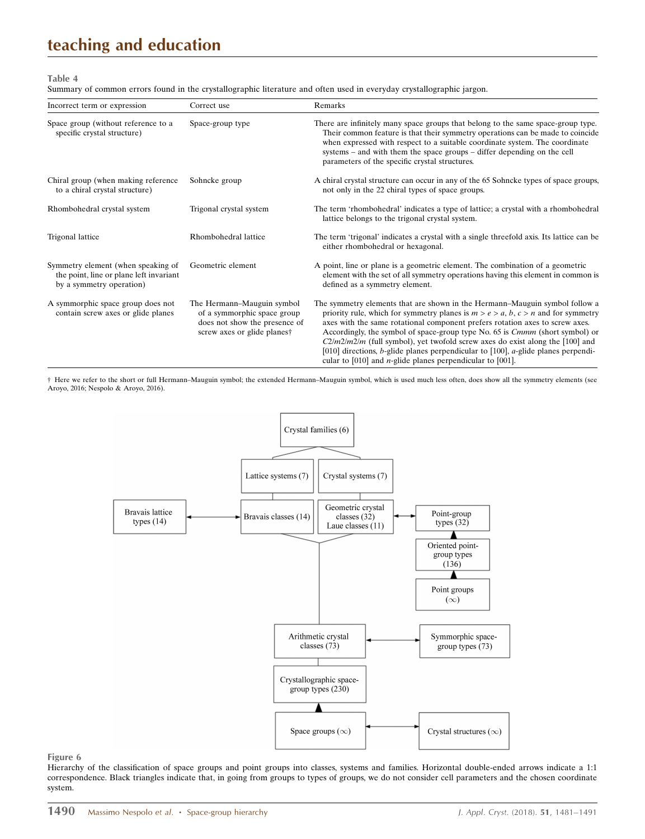# teaching and education

Table 4

Summary of common errors found in the crystallographic literature and often used in everyday crystallographic jargon.

| Incorrect term or expression                                                                                                                                                                         | Correct use             | Remarks                                                                                                                                                                                                                                                                                                                                                                                                                                                                                                                                                                                |
|------------------------------------------------------------------------------------------------------------------------------------------------------------------------------------------------------|-------------------------|----------------------------------------------------------------------------------------------------------------------------------------------------------------------------------------------------------------------------------------------------------------------------------------------------------------------------------------------------------------------------------------------------------------------------------------------------------------------------------------------------------------------------------------------------------------------------------------|
| Space group (without reference to a<br>specific crystal structure)                                                                                                                                   | Space-group type        | There are infinitely many space groups that belong to the same space-group type.<br>Their common feature is that their symmetry operations can be made to coincide<br>when expressed with respect to a suitable coordinate system. The coordinate<br>systems – and with them the space groups – differ depending on the cell<br>parameters of the specific crystal structures.                                                                                                                                                                                                         |
| Chiral group (when making reference<br>to a chiral crystal structure)                                                                                                                                | Sohncke group           | A chiral crystal structure can occur in any of the 65 Sohncke types of space groups,<br>not only in the 22 chiral types of space groups.                                                                                                                                                                                                                                                                                                                                                                                                                                               |
| Rhombohedral crystal system                                                                                                                                                                          | Trigonal crystal system | The term 'rhombohedral' indicates a type of lattice; a crystal with a rhombohedral<br>lattice belongs to the trigonal crystal system.                                                                                                                                                                                                                                                                                                                                                                                                                                                  |
| Trigonal lattice                                                                                                                                                                                     | Rhombohedral lattice    | The term 'trigonal' indicates a crystal with a single threefold axis. Its lattice can be<br>either rhombohedral or hexagonal.                                                                                                                                                                                                                                                                                                                                                                                                                                                          |
| Symmetry element (when speaking of<br>the point, line or plane left invariant<br>by a symmetry operation)                                                                                            | Geometric element       | A point, line or plane is a geometric element. The combination of a geometric<br>element with the set of all symmetry operations having this element in common is<br>defined as a symmetry element.                                                                                                                                                                                                                                                                                                                                                                                    |
| The Hermann-Mauguin symbol<br>A symmorphic space group does not<br>of a symmorphic space group<br>contain screw axes or glide planes<br>does not show the presence of<br>screw axes or glide planes† |                         | The symmetry elements that are shown in the Hermann–Mauguin symbol follow a<br>priority rule, which for symmetry planes is $m > e > a$ , $b, c > n$ and for symmetry<br>axes with the same rotational component prefers rotation axes to screw axes.<br>Accordingly, the symbol of space-group type No. 65 is Cmmm (short symbol) or<br>$C2/m2/m2/m$ (full symbol), yet twofold screw axes do exist along the [100] and<br>[010] directions, b-glide planes perpendicular to [100], a-glide planes perpendi-<br>cular to $[010]$ and <i>n</i> -glide planes perpendicular to $[001]$ . |

† Here we refer to the short or full Hermann–Mauguin symbol; the extended Hermann–Mauguin symbol, which is used much less often, does show all the symmetry elements (see Aroyo, 2016; Nespolo & Aroyo, 2016).



Figure 6

Hierarchy of the classification of space groups and point groups into classes, systems and families. Horizontal double-ended arrows indicate a 1:1 correspondence. Black triangles indicate that, in going from groups to types of groups, we do not consider cell parameters and the chosen coordinate system.